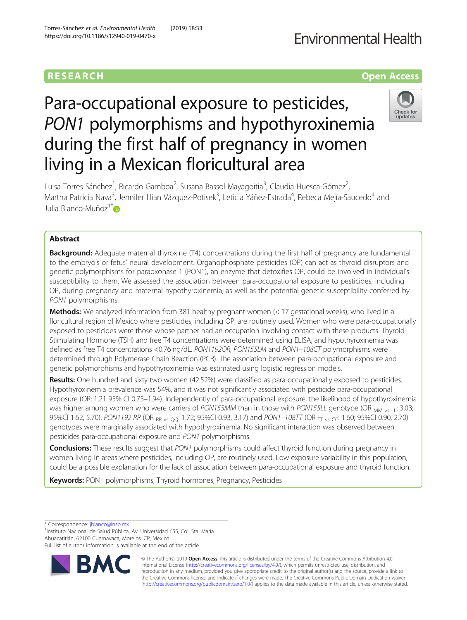## **Fnvironmental Health**

## **RESEARCH CHILD CONTROL** CONTROL CONTROL CONTROL CONTROL CONTROL CONTROL CONTROL CONTROL CONTROL CONTROL CONTROL CONTROL CONTROL CONTROL CONTROL CONTROL CONTROL CONTROL CONTROL CONTROL CONTROL CONTROL CONTROL CONTROL CONTR

# Para-occupational exposure to pesticides, PON1 polymorphisms and hypothyroxinemia during the first half of pregnancy in women living in a Mexican floricultural area



Luisa Torres-Sánchez<sup>1</sup>, Ricardo Gamboa<sup>2</sup>, Susana Bassol-Mayagoitia<sup>3</sup>, Claudia Huesca-Gómez<sup>2</sup> , Martha Patricia Nava<sup>3</sup>, Jennifer Illian Vázquez-Potisek<sup>3</sup>, Leticia Yáñez-Estrada<sup>4</sup>, Rebeca Mejía-Saucedo<sup>4</sup> and Julia Blanco-Muñoz<sup>1[\\*](http://orcid.org/0000-0002-3352-8632)</sup>D

### Abstract

**Background:** Adequate maternal thyroxine (T4) concentrations during the first half of pregnancy are fundamental to the embryo's or fetus' neural development. Organophosphate pesticides (OP) can act as thyroid disruptors and genetic polymorphisms for paraoxonase 1 (PON1), an enzyme that detoxifies OP, could be involved in individual's susceptibility to them. We assessed the association between para-occupational exposure to pesticides, including OP, during pregnancy and maternal hypothyroxinemia, as well as the potential genetic susceptibility conferred by PON1 polymorphisms.

**Methods:** We analyzed information from 381 healthy pregnant women  $\leq$  17 gestational weeks), who lived in a floricultural region of Mexico where pesticides, including OP, are routinely used. Women who were para-occupationally exposed to pesticides were those whose partner had an occupation involving contact with these products. Thyroid-Stimulating Hormone (TSH) and free T4 concentrations were determined using ELISA, and hypothyroxinemia was defined as free T4 concentrations <0.76 ng/dL. PON1192QR, PON155LM and PON1-108CT polymorphisms were determined through Polymerase Chain Reaction (PCR). The association between para-occupational exposure and genetic polymorphisms and hypothyroxinemia was estimated using logistic regression models.

Results: One hundred and sixty two women (42.52%) were classified as para-occupationally exposed to pesticides. Hypothyroxinemia prevalence was 54%, and it was not significantly associated with pesticide para-occupational exposure (OR: 1.21 95% CI 0.75–1.94). Independently of para-occupational exposure, the likelihood of hypothyroxinemia was higher among women who were carriers of PON155MM than in those with PON155LL genotype (OR  $_{MMS}$   $_{11}$ : 3.03; 95%CI 1.62, 5.70). PON1192 RR (OR RR vs QQ: 1.72; 95%CI 0.93, 3.17) and PON1–108TT (OR TT vs CC: 1.60; 95%CI 0.90, 2.70) genotypes were marginally associated with hypothyroxinemia. No significant interaction was observed between pesticides para-occupational exposure and PON1 polymorphisms.

**Conclusions:** These results suggest that PON1 polymorphisms could affect thyroid function during pregnancy in women living in areas where pesticides, including OP, are routinely used. Low exposure variability in this population, could be a possible explanation for the lack of association between para-occupational exposure and thyroid function.

**Keywords:** PON1 polymorphisms, Thyroid hormones, Pregnancy, Pesticides

\* Correspondence: [jblanco@insp.mx](mailto:jblanco@insp.mx) <sup>1</sup>

<sup>1</sup>Instituto Nacional de Salud Pública, Av. Universidad 655, Col. Sta. María Ahuacatitlán, 62100 Cuernavaca, Morelos, CP, Mexico

Full list of author information is available at the end of the article



© The Author(s). 2019 **Open Access** This article is distributed under the terms of the Creative Commons Attribution 4.0 International License [\(http://creativecommons.org/licenses/by/4.0/](http://creativecommons.org/licenses/by/4.0/)), which permits unrestricted use, distribution, and reproduction in any medium, provided you give appropriate credit to the original author(s) and the source, provide a link to the Creative Commons license, and indicate if changes were made. The Creative Commons Public Domain Dedication waiver [\(http://creativecommons.org/publicdomain/zero/1.0/](http://creativecommons.org/publicdomain/zero/1.0/)) applies to the data made available in this article, unless otherwise stated.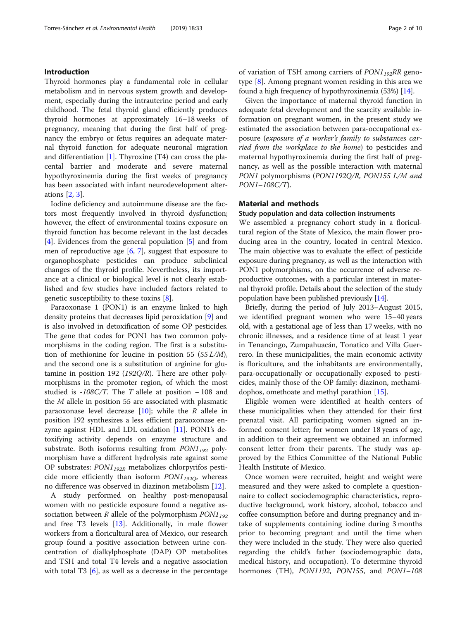#### Introduction

Thyroid hormones play a fundamental role in cellular metabolism and in nervous system growth and development, especially during the intrauterine period and early childhood. The fetal thyroid gland efficiently produces thyroid hormones at approximately 16–18 weeks of pregnancy, meaning that during the first half of pregnancy the embryo or fetus requires an adequate maternal thyroid function for adequate neuronal migration and differentiation  $[1]$  $[1]$ . Thyroxine  $(T4)$  can cross the placental barrier and moderate and severe maternal hypothyroxinemia during the first weeks of pregnancy has been associated with infant neurodevelopment alterations [\[2](#page-8-0), [3](#page-8-0)].

Iodine deficiency and autoimmune disease are the factors most frequently involved in thyroid dysfunction; however, the effect of environmental toxins exposure on thyroid function has become relevant in the last decades [[4\]](#page-8-0). Evidences from the general population [[5](#page-8-0)] and from men of reproductive age [[6,](#page-8-0) [7](#page-8-0)], suggest that exposure to organophosphate pesticides can produce subclinical changes of the thyroid profile. Nevertheless, its importance at a clinical or biological level is not clearly established and few studies have included factors related to genetic susceptibility to these toxins [[8\]](#page-8-0).

Paraoxonase 1 (PON1) is an enzyme linked to high density proteins that decreases lipid peroxidation [\[9](#page-8-0)] and is also involved in detoxification of some OP pesticides. The gene that codes for PON1 has two common polymorphisms in the coding region. The first is a substitution of methionine for leucine in position 55 ( $55 L/M$ ), and the second one is a substitution of arginine for glutamine in position 192 (192 $Q/R$ ). There are other polymorphisms in the promoter region, of which the most studied is -108C/T. The T allele at position  $-108$  and the  $M$  allele in position 55 are associated with plasmatic paraoxonase level decrease  $[10]$  $[10]$ ; while the R allele in position 192 synthesizes a less efficient paraoxonase enzyme against HDL and LDL oxidation [\[11\]](#page-8-0). PON1's detoxifying activity depends on enzyme structure and substrate. Both isoforms resulting from  $PON1_{192}$  polymorphism have a different hydrolysis rate against some OP substrates:  $PON1_{192R}$  metabolizes chlorpyrifos pesticide more efficiently than isoform  $PON1_{192O}$ , whereas no difference was observed in diazinon metabolism [\[12](#page-8-0)].

A study performed on healthy post-menopausal women with no pesticide exposure found a negative association between R allele of the polymorphism  $PON1_{192}$ and free T3 levels [[13\]](#page-8-0). Additionally, in male flower workers from a floricultural area of Mexico, our research group found a positive association between urine concentration of dialkylphosphate (DAP) OP metabolites and TSH and total T4 levels and a negative association with total T3 [\[6](#page-8-0)], as well as a decrease in the percentage

of variation of TSH among carriers of  $PON1_{192}RR$  genotype [\[8](#page-8-0)]. Among pregnant women residing in this area we found a high frequency of hypothyroxinemia (53%) [\[14\]](#page-8-0).

Given the importance of maternal thyroid function in adequate fetal development and the scarcity available information on pregnant women, in the present study we estimated the association between para-occupational exposure (exposure of a worker's family to substances carried from the workplace to the home) to pesticides and maternal hypothyroxinemia during the first half of pregnancy, as well as the possible interaction with maternal PON1 polymorphisms (PON1192Q/R, PON155 L/M and PON1–108C/T).

#### Material and methods

#### Study population and data collection instruments

We assembled a pregnancy cohort study in a floricultural region of the State of Mexico, the main flower producing area in the country, located in central Mexico. The main objective was to evaluate the effect of pesticide exposure during pregnancy, as well as the interaction with PON1 polymorphisms, on the occurrence of adverse reproductive outcomes, with a particular interest in maternal thyroid profile. Details about the selection of the study population have been published previously [[14](#page-8-0)].

Briefly, during the period of July 2013–August 2015, we identified pregnant women who were 15–40 years old, with a gestational age of less than 17 weeks, with no chronic illnesses, and a residence time of at least 1 year in Tenancingo, Zumpahuacán, Tonatico and Villa Guerrero. In these municipalities, the main economic activity is floriculture, and the inhabitants are environmentally, para-occupationally or occupationally exposed to pesticides, mainly those of the OP family: diazinon, methamidophos, omethoate and methyl parathion [\[15](#page-8-0)].

Eligible women were identified at health centers of these municipalities when they attended for their first prenatal visit. All participating women signed an informed consent letter; for women under 18 years of age, in addition to their agreement we obtained an informed consent letter from their parents. The study was approved by the Ethics Committee of the National Public Health Institute of Mexico.

Once women were recruited, height and weight were measured and they were asked to complete a questionnaire to collect sociodemographic characteristics, reproductive background, work history, alcohol, tobacco and coffee consumption before and during pregnancy and intake of supplements containing iodine during 3 months prior to becoming pregnant and until the time when they were included in the study. They were also queried regarding the child's father (sociodemographic data, medical history, and occupation). To determine thyroid hormones (TH), PON1192, PON155, and PON1-108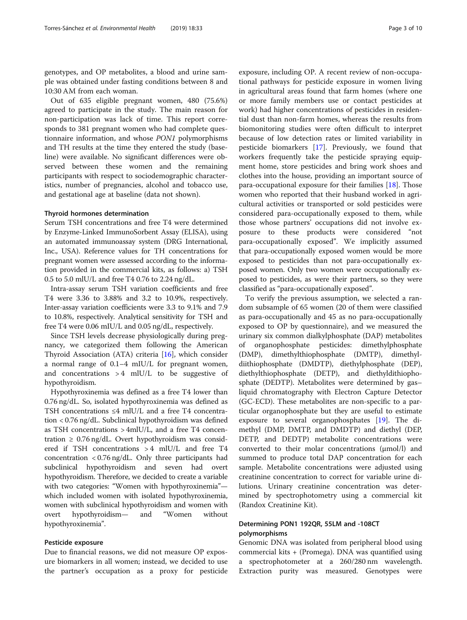genotypes, and OP metabolites, a blood and urine sample was obtained under fasting conditions between 8 and 10:30 AM from each woman.

Out of 635 eligible pregnant women, 480 (75.6%) agreed to participate in the study. The main reason for non-participation was lack of time. This report corresponds to 381 pregnant women who had complete questionnaire information, and whose PON1 polymorphisms and TH results at the time they entered the study (baseline) were available. No significant differences were observed between these women and the remaining participants with respect to sociodemographic characteristics, number of pregnancies, alcohol and tobacco use, and gestational age at baseline (data not shown).

#### Thyroid hormones determination

Serum TSH concentrations and free T4 were determined by Enzyme-Linked ImmunoSorbent Assay (ELISA), using an automated immunoassay system (DRG International, Inc., USA). Reference values for TH concentrations for pregnant women were assessed according to the information provided in the commercial kits, as follows: a) TSH 0.5 to 5.0 mlU/L and free T4 0.76 to 2.24 ng/dL.

Intra-assay serum TSH variation coefficients and free T4 were 3.36 to 3.88% and 3.2 to 10.9%, respectively. Inter-assay variation coefficients were 3.3 to 9.1% and 7.9 to 10.8%, respectively. Analytical sensitivity for TSH and free T4 were 0.06 mIU/L and 0.05 ng/dL, respectively.

Since TSH levels decrease physiologically during pregnancy, we categorized them following the American Thyroid Association (ATA) criteria [\[16\]](#page-9-0), which consider a normal range of 0.1–4 mIU/L for pregnant women, and concentrations  $> 4$  mlU/L to be suggestive of hypothyroidism.

Hypothyroxinemia was defined as a free T4 lower than 0.76 ng/dL. So, isolated hypothyroxinemia was defined as TSH concentrations ≤4 mlU/L and a free T4 concentration < 0.76 ng/dL. Subclinical hypothyroidism was defined as TSH concentrations > 4mlU/L, and a free T4 concentration  $\geq 0.76$  ng/dL. Overt hypothyroidism was considered if TSH concentrations > 4 mlU/L and free T4 concentration < 0.76 ng/dL. Only three participants had subclinical hypothyroidism and seven had overt hypothyroidism. Therefore, we decided to create a variable with two categories: "Women with hypothyroxinemia" which included women with isolated hypothyroxinemia, women with subclinical hypothyroidism and women with overt hypothyroidism— and "Women without hypothyroxinemia".

#### Pesticide exposure

Due to financial reasons, we did not measure OP exposure biomarkers in all women; instead, we decided to use the partner's occupation as a proxy for pesticide

exposure, including OP. A recent review of non-occupational pathways for pesticide exposure in women living in agricultural areas found that farm homes (where one or more family members use or contact pesticides at work) had higher concentrations of pesticides in residential dust than non-farm homes, whereas the results from biomonitoring studies were often difficult to interpret because of low detection rates or limited variability in pesticide biomarkers [\[17](#page-9-0)]. Previously, we found that workers frequently take the pesticide spraying equipment home, store pesticides and bring work shoes and clothes into the house, providing an important source of para-occupational exposure for their families [\[18](#page-9-0)]. Those women who reported that their husband worked in agricultural activities or transported or sold pesticides were considered para-occupationally exposed to them, while those whose partners' occupations did not involve exposure to these products were considered "not para-occupationally exposed". We implicitly assumed that para-occupationally exposed women would be more exposed to pesticides than not para-occupationally exposed women. Only two women were occupationally exposed to pesticides, as were their partners, so they were classified as "para-occupationally exposed".

To verify the previous assumption, we selected a random subsample of 65 women (20 of them were classified as para-occupationally and 45 as no para-occupationally exposed to OP by questionnaire), and we measured the urinary six common dialkylphosphate (DAP) metabolites of organophosphate pesticides: dimethylphosphate (DMP), dimethylthiophosphate (DMTP), dimethyldiithiophosphate (DMDTP), diethylphosphate (DEP), diethylthiophosphate (DETP), and diethyldithiophosphate (DEDTP). Metabolites were determined by gas– liquid chromatography with Electron Capture Detector (GC-ECD). These metabolites are non-specific to a particular organophosphate but they are useful to estimate exposure to several organophosphates [\[19](#page-9-0)]. The dimethyl (DMP, DMTP, and DMDTP) and diethyl (DEP, DETP, and DEDTP) metabolite concentrations were converted to their molar concentrations (μmol/l) and summed to produce total DAP concentration for each sample. Metabolite concentrations were adjusted using creatinine concentration to correct for variable urine dilutions. Urinary creatinine concentration was determined by spectrophotometry using a commercial kit (Randox Creatinine Kit).

### Determining PON1 192QR, 55LM and -108CT polymorphisms

Genomic DNA was isolated from peripheral blood using commercial kits + (Promega). DNA was quantified using a spectrophotometer at a 260/280 nm wavelength. Extraction purity was measured. Genotypes were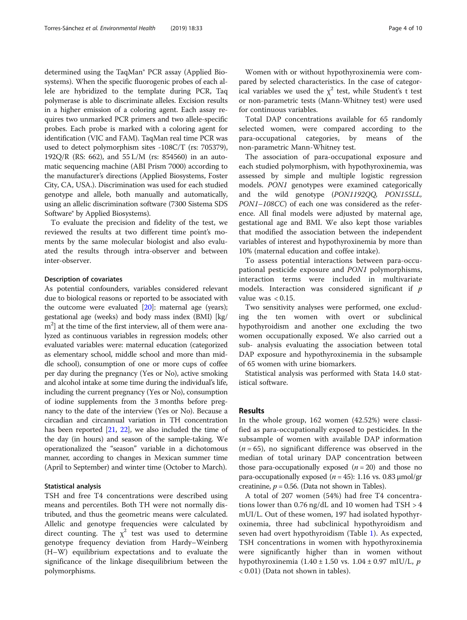determined using the TaqMan® PCR assay (Applied Biosystems). When the specific fluorogenic probes of each allele are hybridized to the template during PCR, Taq polymerase is able to discriminate alleles. Excision results in a higher emission of a coloring agent. Each assay requires two unmarked PCR primers and two allele-specific probes. Each probe is marked with a coloring agent for identification (VIC and FAM). TaqMan real time PCR was used to detect polymorphism sites -108C/T (rs: 705379), 192Q/R (RS: 662), and 55 L/M (rs: 854560) in an automatic sequencing machine (ABI Prism 7000) according to the manufacturer's directions (Applied Biosystems, Foster City, CA, USA.). Discrimination was used for each studied genotype and allele, both manually and automatically, using an allelic discrimination software (7300 Sistema SDS Software® by Applied Biosystems).

To evaluate the precision and fidelity of the test, we reviewed the results at two different time point's moments by the same molecular biologist and also evaluated the results through intra-observer and between inter-observer.

#### Description of covariates

As potential confounders, variables considered relevant due to biological reasons or reported to be associated with the outcome were evaluated  $[20]$  $[20]$  $[20]$ : maternal age (years); gestational age (weeks) and body mass index (BMI) [kg/ m<sup>2</sup>] at the time of the first interview, all of them were analyzed as continuous variables in regression models; other evaluated variables were: maternal education (categorized as elementary school, middle school and more than middle school), consumption of one or more cups of coffee per day during the pregnancy (Yes or No), active smoking and alcohol intake at some time during the individual's life, including the current pregnancy (Yes or No), consumption of iodine supplements from the 3 months before pregnancy to the date of the interview (Yes or No). Because a circadian and circannual variation in TH concentration has been reported [[21](#page-9-0), [22\]](#page-9-0), we also included the time of the day (in hours) and season of the sample-taking. We operationalized the "season" variable in a dichotomous manner, according to changes in Mexican summer time (April to September) and winter time (October to March).

#### Statistical analysis

TSH and free T4 concentrations were described using means and percentiles. Both TH were not normally distributed, and thus the geometric means were calculated. Allelic and genotype frequencies were calculated by direct counting. The  $\chi^2$  test was used to determine genotype frequency deviation from Hardy–Weinberg (H–W) equilibrium expectations and to evaluate the significance of the linkage disequilibrium between the polymorphisms.

Women with or without hypothyroxinemia were compared by selected characteristics. In the case of categorical variables we used the  $\chi^2$  test, while Student's t test or non-parametric tests (Mann-Whitney test) were used for continuous variables.

Total DAP concentrations available for 65 randomly selected women, were compared according to the para-occupational categories, by means of the non-parametric Mann-Whitney test.

The association of para-occupational exposure and each studied polymorphism, with hypothyroxinemia, was assessed by simple and multiple logistic regression models. PON1 genotypes were examined categorically and the wild genotype (PON1192QQ, PON155LL, PON1–108CC) of each one was considered as the reference. All final models were adjusted by maternal age, gestational age and BMI. We also kept those variables that modified the association between the independent variables of interest and hypothyroxinemia by more than 10% (maternal education and coffee intake).

To assess potential interactions between para-occupational pesticide exposure and PON1 polymorphisms, interaction terms were included in multivariate models. Interaction was considered significant if  $p$ value was  $< 0.15$ .

Two sensitivity analyses were performed, one excluding the ten women with overt or subclinical hypothyroidism and another one excluding the two women occupationally exposed. We also carried out a sub- analysis evaluating the association between total DAP exposure and hypothyroxinemia in the subsample of 65 women with urine biomarkers.

Statistical analysis was performed with Stata 14.0 statistical software.

#### Results

In the whole group, 162 women (42.52%) were classified as para-occupationally exposed to pesticides. In the subsample of women with available DAP information  $(n = 65)$ , no significant difference was observed in the median of total urinary DAP concentration between those para-occupationally exposed  $(n = 20)$  and those no para-occupationally exposed ( $n = 45$ ): 1.16 vs. 0.83  $\mu$ mol/gr creatinine,  $p = 0.56$ . (Data not shown in Tables).

A total of 207 women (54%) had free T4 concentrations lower than 0.76 ng/dL and 10 women had TSH > 4 mUI/L. Out of these women, 197 had isolated hypothyroxinemia, three had subclinical hypothyroidism and seven had overt hypothyroidism (Table [1\)](#page-4-0). As expected, TSH concentrations in women with hypothyroxinemia were significantly higher than in women without hypothyroxinemia  $(1.40 \pm 1.50 \text{ vs. } 1.04 \pm 0.97 \text{ m})$ IU/L, p < 0.01) (Data not shown in tables).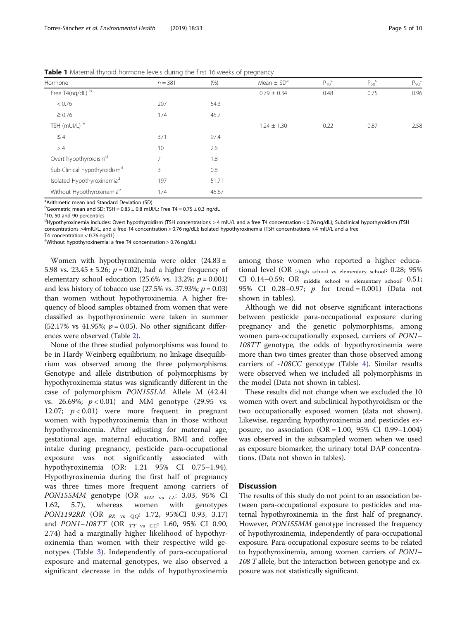<span id="page-4-0"></span>**Table 1** Maternal thyroid hormone levels during the first 16 weeks of pregnancy

| Hormone                                  | $n = 381$      | (% )  | Mean $\pm$ SD <sup>a</sup> | $P_{10}^{\nc}$ | $P_{50}$ <sup>c</sup> | $P_{90}$ <sup>c</sup> |
|------------------------------------------|----------------|-------|----------------------------|----------------|-----------------------|-----------------------|
| Free T4(ng/dL) b                         |                |       | $0.79 \pm 0.34$            | 0.48           | 0.75                  | 0.96                  |
| < 0.76                                   | 207            | 54.3  |                            |                |                       |                       |
| $\geq 0.76$                              | 174            | 45.7  |                            |                |                       |                       |
| TSH (mUI/L) b                            |                |       | $1.24 \pm 1.30$            | 0.22           | 0.87                  | 2.58                  |
| $\leq 4$                                 | 371            | 97.4  |                            |                |                       |                       |
| >4                                       | 10             | 2.6   |                            |                |                       |                       |
| Overt hypothyroidism <sup>d</sup>        | $\overline{7}$ | 1.8   |                            |                |                       |                       |
| Sub-Clinical hypothyroidism <sup>d</sup> | 3              | 0.8   |                            |                |                       |                       |
| Isolated Hypothyroxinemia <sup>d</sup>   | 197            | 51.71 |                            |                |                       |                       |
| Without Hypothyroxinemia <sup>e</sup>    | 174            | 45.67 |                            |                |                       |                       |

<sup>a</sup> Arithmetic mean and Standard Deviation (SD)

<sup>b</sup>Geometric mean and SD: TSH =  $0.83 \pm 0.8$  mUI/L; Free T4 =  $0.75 \pm 0.3$  ng/dL

<sup>c</sup>10, 50 and 90 percentiles

<sup>d</sup>Hypothyroxinemia includes: Overt hypothyroidism (TSH concentrations > 4 mlU/L and a free T4 concentration < 0.76 ng/dL); Subclinical hypothyroidism (TSH concentrations >4mlU/L, and a free T4 concentration ≥ 0.76 ng/dL); Isolated hypothyroxinemia (TSH concentrations ≤4 mlU/L and a free

T4 concentration < 0.76 ng/dL)

e Without hypothyroxinemia: a free T4 concentration ≥ 0.76 ng/dL)

Women with hypothyroxinemia were older (24.83 ± 5.98 vs.  $23.45 \pm 5.26$ ;  $p = 0.02$ ), had a higher frequency of elementary school education (25.6% vs. 13.2%;  $p = 0.001$ ) and less history of tobacco use  $(27.5\% \text{ vs. } 37.93\%; p = 0.03)$ than women without hypothyroxinemia. A higher frequency of blood samples obtained from women that were classified as hypothyroxinemic were taken in summer  $(52.17\% \text{ vs } 41.95\%; p = 0.05)$ . No other significant differences were observed (Table [2\)](#page-5-0).

None of the three studied polymorphisms was found to be in Hardy Weinberg equilibrium; no linkage disequilibrium was observed among the three polymorphisms. Genotype and allele distribution of polymorphisms by hypothyroxinemia status was significantly different in the case of polymorphism PON155LM. Allele M (42.41 vs. 26.69%;  $p < 0.01$ ) and MM genotype (29.95 vs. 12.07;  $p < 0.01$ ) were more frequent in pregnant women with hypothyroxinemia than in those without hypothyroxinemia. After adjusting for maternal age, gestational age, maternal education, BMI and coffee intake during pregnancy, pesticide para-occupational exposure was not significantly associated with hypothyroxinemia (OR: 1.21 95% CI 0.75–1.94). Hypothyroxinemia during the first half of pregnancy was three times more frequent among carriers of PON155MM genotype (OR  $_{MM}$  vs  $_{LL}$ : 3.03, 95% CI 1.62, 5.7), whereas women with genotypes PON1192RR (OR  $_{RR}$  vs  $_{QQ}$ : 1.72, 95%CI 0.93, 3.17) and *PON1–108TT* (OR  $_{TT}$  <sub>vs CC</sub>: 1.60, 95% CI 0.90, 2.74) had a marginally higher likelihood of hypothyroxinemia than women with their respective wild genotypes (Table [3\)](#page-6-0). Independently of para-occupational exposure and maternal genotypes, we also observed a significant decrease in the odds of hypothyroxinemia

among those women who reported a higher educational level (OR  $\geq$ high school vs elementary school: 0.28; 95% CI 0.14–0.59; OR middle school vs elementary school: 0.51; 95% CI 0.28–0.97; *p* for trend = 0.001) (Data not shown in tables).

Although we did not observe significant interactions between pesticide para-occupational exposure during pregnancy and the genetic polymorphisms, among women para-occupationally exposed, carriers of PON1– 108TT genotype, the odds of hypothyroxinemia were more than two times greater than those observed among carriers of -108CC genotype (Table [4](#page-7-0)). Similar results were observed when we included all polymorphisms in the model (Data not shown in tables).

These results did not change when we excluded the 10 women with overt and subclinical hypothyroidism or the two occupationally exposed women (data not shown). Likewise, regarding hypothyroxinemia and pesticides exposure, no association  $(OR = 1.00, 95\% \text{ CI } 0.99-1.004)$ was observed in the subsampled women when we used as exposure biomarker, the urinary total DAP concentrations. (Data not shown in tables).

#### **Discussion**

The results of this study do not point to an association between para-occupational exposure to pesticides and maternal hypothyroxinemia in the first half of pregnancy. However, PON155MM genotype increased the frequency of hypothyroxinemia, independently of para-occupational exposure. Para-occupational exposure seems to be related to hypothyroxinemia, among women carriers of PON1– 108 T allele, but the interaction between genotype and exposure was not statistically significant.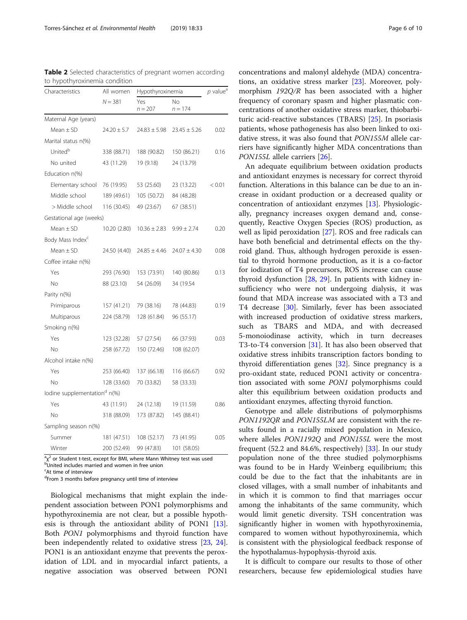| Characteristics                          | All women       | Hypothyroxinemia | $p$ value <sup>a</sup> |        |  |
|------------------------------------------|-----------------|------------------|------------------------|--------|--|
|                                          | $N = 381$       | Yes<br>$n = 207$ | No<br>$n = 174$        |        |  |
| Maternal Age (years)                     |                 |                  |                        |        |  |
| Mean $\pm$ SD                            | $24.20 \pm 5.7$ | $24.83 \pm 5.98$ | $23.45 \pm 5.26$       | 0.02   |  |
| Marital status n(%)                      |                 |                  |                        |        |  |
| United <sup>b</sup>                      | 338 (88.71)     | 188 (90.82)      | 150 (86.21)            | 0.16   |  |
| No united                                | 43 (11.29)      | 19 (9.18)        | 24 (13.79)             |        |  |
| Education n(%)                           |                 |                  |                        |        |  |
| Elementary school                        | 76 (19.95)      | 53 (25.60)       | 23 (13.22)             | < 0.01 |  |
| Middle school                            | 189 (49.61)     | 105 (50.72)      | 84 (48.28)             |        |  |
| > Middle school                          | 116 (30.45)     | 49 (23.67)       | 67 (38.51)             |        |  |
| Gestational age (weeks)                  |                 |                  |                        |        |  |
| $Mean \pm SD$                            | 10.20 (2.80)    | $10.36 \pm 2.83$ | $9.99 \pm 2.74$        | 0.20   |  |
| Body Mass Index <sup>c</sup>             |                 |                  |                        |        |  |
| Mean $\pm$ SD                            | 24.50 (4.40)    | $24.85 \pm 4.46$ | $24.07 \pm 4.30$       | 0.08   |  |
| Coffee intake n(%)                       |                 |                  |                        |        |  |
| Yes                                      | 293 (76.90)     | 153 (73.91)      | 140 (80.86)            | 0.13   |  |
| No                                       | 88 (23.10)      | 54 (26.09)       | 34 (19.54              |        |  |
| Parity n(%)                              |                 |                  |                        |        |  |
| Primiparous                              | 157 (41.21)     | 79 (38.16)       | 78 (44.83)             | 0.19   |  |
| Multiparous                              | 224 (58.79)     | 128 (61.84)      | 96 (55.17)             |        |  |
| Smoking n(%)                             |                 |                  |                        |        |  |
| Yes                                      | 123 (32.28)     | 57 (27.54)       | 66 (37.93)             | 0.03   |  |
| Νo                                       | 258 (67.72)     | 150 (72.46)      | 108 (62.07)            |        |  |
| Alcohol intake n(%)                      |                 |                  |                        |        |  |
| Yes                                      | 253 (66.40)     | 137 (66.18)      | 116 (66.67)            | 0.92   |  |
| No.                                      | 128 (33.60)     | 70 (33.82)       | 58 (33.33)             |        |  |
| lodine supplementation <sup>d</sup> n(%) |                 |                  |                        |        |  |
| Yes                                      | 43 (11.91)      | 24 (12.18)       | 19 (11.59)             | 0.86   |  |
| No.                                      | 318 (88.09)     | 173 (87.82)      | 145 (88.41)            |        |  |
| Sampling season n(%)                     |                 |                  |                        |        |  |
| Summer                                   | 181 (47.51)     | 108 (52.17)      | 73 (41.95)             | 0.05   |  |
| Winter                                   | 200 (52.49)     | 99 (47.83)       | 101 (58.05)            |        |  |

<span id="page-5-0"></span>Table 2 Selected characteristics of pregnant women according to hypothyroxinemia condition

 $a^2$  or Student t-test, except for BMI, where Mann Whitney test was used<br>bubited includes married and wemen in free union  $\overrightarrow{b}$ United includes married and women in free union

<sup>c</sup>At time of interview

d From 3 months before pregnancy until time of interview

Biological mechanisms that might explain the independent association between PON1 polymorphisms and hypothyroxinemia are not clear, but a possible hypothesis is through the antioxidant ability of PON1 [\[13](#page-8-0)]. Both PON1 polymorphisms and thyroid function have been independently related to oxidative stress [\[23,](#page-9-0) [24](#page-9-0)]. PON1 is an antioxidant enzyme that prevents the peroxidation of LDL and in myocardial infarct patients, a negative association was observed between PON1

concentrations and malonyl aldehyde (MDA) concentrations, an oxidative stress marker [[23\]](#page-9-0). Moreover, polymorphism 192Q/R has been associated with a higher frequency of coronary spasm and higher plasmatic concentrations of another oxidative stress marker, thiobarbituric acid-reactive substances (TBARS) [[25\]](#page-9-0). In psoriasis patients, whose pathogenesis has also been linked to oxidative stress, it was also found that PON155M allele carriers have significantly higher MDA concentrations than PON155L allele carriers [\[26](#page-9-0)].

An adequate equilibrium between oxidation products and antioxidant enzymes is necessary for correct thyroid function. Alterations in this balance can be due to an increase in oxidant production or a decreased quality or concentration of antioxidant enzymes [[13\]](#page-8-0). Physiologically, pregnancy increases oxygen demand and, consequently, Reactive Oxygen Species (ROS) production, as well as lipid peroxidation [\[27](#page-9-0)]. ROS and free radicals can have both beneficial and detrimental effects on the thyroid gland. Thus, although hydrogen peroxide is essential to thyroid hormone production, as it is a co-factor for iodization of T4 precursors, ROS increase can cause thyroid dysfunction [\[28](#page-9-0), [29\]](#page-9-0). In patients with kidney insufficiency who were not undergoing dialysis, it was found that MDA increase was associated with a T3 and T4 decrease [[30\]](#page-9-0). Similarly, fever has been associated with increased production of oxidative stress markers, such as TBARS and MDA, and with decreased 5-monoiodinase activity, which in turn decreases T3-to-T4 conversion [[31](#page-9-0)]. It has also been observed that oxidative stress inhibits transcription factors bonding to thyroid differentiation genes [\[32\]](#page-9-0). Since pregnancy is a pro-oxidant state, reduced PON1 activity or concentration associated with some PON1 polymorphisms could alter this equilibrium between oxidation products and antioxidant enzymes, affecting thyroid function.

Genotype and allele distributions of polymorphisms PON1192QR and PON155LM are consistent with the results found in a racially mixed population in Mexico, where alleles PON1192Q and PON155L were the most frequent (52.2 and 84.6%, respectively) [\[33](#page-9-0)]. In our study population none of the three studied polymorphisms was found to be in Hardy Weinberg equilibrium; this could be due to the fact that the inhabitants are in closed villages, with a small number of inhabitants and in which it is common to find that marriages occur among the inhabitants of the same community, which would limit genetic diversity. TSH concentration was significantly higher in women with hypothyroxinemia, compared to women without hypothyroxinemia, which is consistent with the physiological feedback response of the hypothalamus-hypophysis-thyroid axis.

It is difficult to compare our results to those of other researchers, because few epidemiological studies have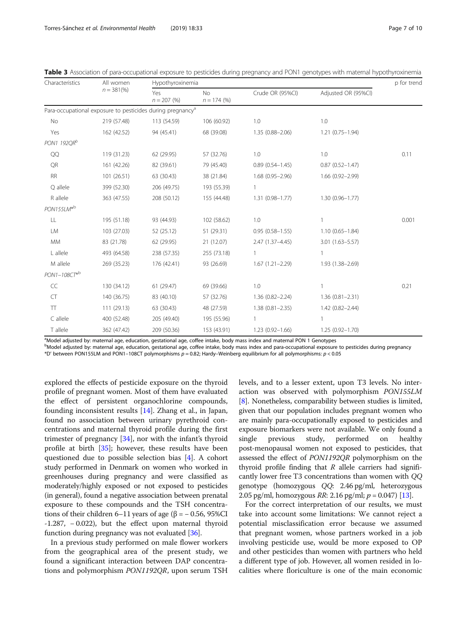| Characteristics         | All women<br>$n = 381\,%$                                              | Hypothyroxinemia        |                            |                     |                     |       |  |
|-------------------------|------------------------------------------------------------------------|-------------------------|----------------------------|---------------------|---------------------|-------|--|
|                         |                                                                        | Yes<br>$n = 207 \, (%)$ | <b>No</b><br>$n = 174$ (%) | Crude OR (95%CI)    | Adjusted OR (95%Cl) |       |  |
|                         | Para-occupational exposure to pesticides during pregnancy <sup>a</sup> |                         |                            |                     |                     |       |  |
| No                      | 219 (57.48)                                                            | 113 (54.59)             | 106 (60.92)                | 1.0                 | 1.0                 |       |  |
| Yes                     | 162 (42.52)                                                            | 94 (45.41)              | 68 (39.08)                 | $1.35(0.88 - 2.06)$ | $1.21(0.75 - 1.94)$ |       |  |
| PON1 192QR <sup>b</sup> |                                                                        |                         |                            |                     |                     |       |  |
| QQ                      | 119 (31.23)                                                            | 62 (29.95)              | 57 (32.76)                 | 1.0                 | 1.0                 | 0.11  |  |
| QR                      | 161 (42.26)                                                            | 82 (39.61)              | 79 (45.40)                 | $0.89(0.54 - 1.45)$ | $0.87(0.52 - 1.47)$ |       |  |
| <b>RR</b>               | 101 (26.51)                                                            | 63 (30.43)              | 38 (21.84)                 | $1.68(0.95 - 2.96)$ | $1.66(0.92 - 2.99)$ |       |  |
| Q allele                | 399 (52.30)                                                            | 206 (49.75)             | 193 (55.39)                |                     |                     |       |  |
| R allele                | 363 (47.55)                                                            | 208 (50.12)             | 155 (44.48)                | $1.31(0.98 - 1.77)$ | $1.30(0.96 - 1.77)$ |       |  |
| PON155LM*b              |                                                                        |                         |                            |                     |                     |       |  |
| LL                      | 195 (51.18)                                                            | 93 (44.93)              | 102 (58.62)                | 1.0                 | $\mathbf{1}$        | 0.001 |  |
| LM                      | 103 (27.03)                                                            | 52 (25.12)              | 51 (29.31)                 | $0.95(0.58 - 1.55)$ | $1.10(0.65 - 1.84)$ |       |  |
| <b>MM</b>               | 83 (21.78)                                                             | 62 (29.95)              | 21(12.07)                  | $2.47(1.37 - 4.45)$ | $3.01(1.63 - 5.57)$ |       |  |
| L allele                | 493 (64.58)                                                            | 238 (57.35)             | 255 (73.18)                | $\mathbf{1}$        | $\mathbf{1}$        |       |  |
| M allele                | 269 (35.23)                                                            | 176 (42.41)             | 93 (26.69)                 | $1.67(1.21 - 2.29)$ | 1.93 (1.38-2.69)    |       |  |
| PON1-108CT*b            |                                                                        |                         |                            |                     |                     |       |  |
| CC                      | 130 (34.12)                                                            | 61(29.47)               | 69 (39.66)                 | 1.0                 |                     | 0.21  |  |
| CT                      | 140 (36.75)                                                            | 83 (40.10)              | 57 (32.76)                 | $1.36(0.82 - 2.24)$ | $1.36(0.81 - 2.31)$ |       |  |
| $\top\top$              | 111(29.13)                                                             | 63 (30.43)              | 48 (27.59)                 | $1.38(0.81 - 2.35)$ | $1.42(0.82 - 2.44)$ |       |  |
| C allele                | 400 (52.48)                                                            | 205 (49.40)             | 195 (55.96)                | $\mathbf{1}$        | 1                   |       |  |
| T allele                | 362 (47.42)                                                            | 209 (50.36)             | 153 (43.91)                | $1.23(0.92 - 1.66)$ | $1.25(0.92 - 1.70)$ |       |  |

<span id="page-6-0"></span>

|  |  |  | Table 3 Association of para-occupational exposure to pesticides during pregnancy and PON1 genotypes with maternal hypothyroxinemia |  |
|--|--|--|------------------------------------------------------------------------------------------------------------------------------------|--|
|  |  |  |                                                                                                                                    |  |

<sup>a</sup>Model adjusted by: maternal age, education, gestational age, coffee intake, body mass index and maternal PON 1 Genotypes

b<br>Model adjusted by: maternal age, education, gestational age, coffee intake, body mass index and para-occupational exposure to pesticides during pregnancy \*D' between PON155LM and PON1–108CT polymorphisms p = 0.82; Hardy–Weinberg equilibrium for all polymorphisms: p < 0.05

explored the effects of pesticide exposure on the thyroid profile of pregnant women. Most of them have evaluated the effect of persistent organochlorine compounds, founding inconsistent results [\[14\]](#page-8-0). Zhang et al., in Japan, found no association between urinary pyrethroid concentrations and maternal thyroid profile during the first trimester of pregnancy [\[34](#page-9-0)], nor with the infant's thyroid profile at birth [[35\]](#page-9-0); however, these results have been questioned due to possible selection bias [[4\]](#page-8-0). A cohort study performed in Denmark on women who worked in greenhouses during pregnancy and were classified as moderately/highly exposed or not exposed to pesticides (in general), found a negative association between prenatal exposure to these compounds and the TSH concentrations of their children 6–11 years of age (β =  $-0.56$ , 95%CI -1.287, − 0.022), but the effect upon maternal thyroid function during pregnancy was not evaluated [[36](#page-9-0)].

In a previous study performed on male flower workers from the geographical area of the present study, we found a significant interaction between DAP concentrations and polymorphism PON1192QR, upon serum TSH levels, and to a lesser extent, upon T3 levels. No interaction was observed with polymorphism PON155LM [[8\]](#page-8-0). Nonetheless, comparability between studies is limited, given that our population includes pregnant women who are mainly para-occupationally exposed to pesticides and exposure biomarkers were not available. We only found a single previous study, performed on healthy post-menopausal women not exposed to pesticides, that assessed the effect of PON1192QR polymorphism on the thyroid profile finding that  $R$  allele carriers had significantly lower free T3 concentrations than women with QQ genotype (homozygous QQ: 2.46 pg/ml, heterozygous 2.05 pg/ml, homozygous *RR*: 2.16 pg/ml;  $p = 0.047$  [[13](#page-8-0)].

For the correct interpretation of our results, we must take into account some limitations: We cannot reject a potential misclassification error because we assumed that pregnant women, whose partners worked in a job involving pesticide use, would be more exposed to OP and other pesticides than women with partners who held a different type of job. However, all women resided in localities where floriculture is one of the main economic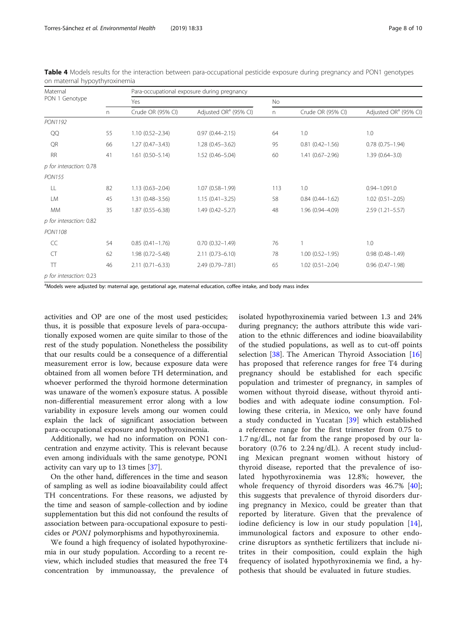| Maternal                |    |                     | Para-occupational exposure during pregnancy |     |                     |                                   |  |  |  |  |
|-------------------------|----|---------------------|---------------------------------------------|-----|---------------------|-----------------------------------|--|--|--|--|
| PON 1 Genotype          |    | Yes                 |                                             | No  |                     |                                   |  |  |  |  |
|                         | n  | Crude OR (95% CI)   | Adjusted OR <sup>a</sup> (95% CI)           | n.  | Crude OR (95% CI)   | Adjusted OR <sup>a</sup> (95% CI) |  |  |  |  |
| PON1192                 |    |                     |                                             |     |                     |                                   |  |  |  |  |
| QQ                      | 55 | $1.10(0.52 - 2.34)$ | $0.97(0.44 - 2.15)$                         | 64  | 1.0                 | 1.0                               |  |  |  |  |
| QR                      | 66 | $1.27(0.47 - 3.43)$ | $1.28(0.45 - 3.62)$                         | 95  | $0.81(0.42 - 1.56)$ | $0.78(0.75 - 1.94)$               |  |  |  |  |
| <b>RR</b>               | 41 | $1.61(0.50 - 5.14)$ | $1.52(0.46 - 5.04)$                         | 60  | $1.41(0.67 - 2.96)$ | $1.39(0.64 - 3.0)$                |  |  |  |  |
| p for interaction: 0.78 |    |                     |                                             |     |                     |                                   |  |  |  |  |
| <b>PON155</b>           |    |                     |                                             |     |                     |                                   |  |  |  |  |
| LL                      | 82 | $1.13(0.63 - 2.04)$ | $1.07(0.58 - 1.99)$                         | 113 | 1.0                 | $0.94 - 1.091.0$                  |  |  |  |  |
| LM                      | 45 | $1.31(0.48 - 3.56)$ | $1.15(0.41 - 3.25)$                         | 58  | $0.84(0.44 - 1.62)$ | $1.02(0.51 - 2.05)$               |  |  |  |  |
| <b>MM</b>               | 35 | $1.87(0.55 - 6.38)$ | $1.49(0.42 - 5.27)$                         | 48  | 1.96 (0.94-4.09)    | $2.59(1.21 - 5.57)$               |  |  |  |  |
| p for interaction: 0.82 |    |                     |                                             |     |                     |                                   |  |  |  |  |
| PON1108                 |    |                     |                                             |     |                     |                                   |  |  |  |  |
| CC                      | 54 | $0.85(0.41 - 1.76)$ | $0.70(0.32 - 1.49)$                         | 76  | 1                   | 1.0                               |  |  |  |  |
| CT                      | 62 | $1.98(0.72 - 5.48)$ | $2.11(0.73 - 6.10)$                         | 78  | $1.00(0.52 - 1.95)$ | $0.98(0.48 - 1.49)$               |  |  |  |  |
| $\top$                  | 46 | $2.11(0.71 - 6.33)$ | 2.49 (0.79-7.81)                            | 65  | $1.02(0.51 - 2.04)$ | $0.96(0.47 - 1.98)$               |  |  |  |  |
| p for interaction: 0.23 |    |                     |                                             |     |                     |                                   |  |  |  |  |

<span id="page-7-0"></span>Table 4 Models results for the interaction between para-occupational pesticide exposure during pregnancy and PON1 genotypes on maternal hypoythyroxinemia

a<br>Models were adjusted by: maternal age, gestational age, maternal education, coffee intake, and body mass index

activities and OP are one of the most used pesticides; thus, it is possible that exposure levels of para-occupationally exposed women are quite similar to those of the rest of the study population. Nonetheless the possibility that our results could be a consequence of a differential measurement error is low, because exposure data were obtained from all women before TH determination, and whoever performed the thyroid hormone determination was unaware of the women's exposure status. A possible non-differential measurement error along with a low variability in exposure levels among our women could explain the lack of significant association between para-occupational exposure and hypothyroxinemia.

Additionally, we had no information on PON1 concentration and enzyme activity. This is relevant because even among individuals with the same genotype, PON1 activity can vary up to 13 times [[37](#page-9-0)].

On the other hand, differences in the time and season of sampling as well as iodine bioavailability could affect TH concentrations. For these reasons, we adjusted by the time and season of sample-collection and by iodine supplementation but this did not confound the results of association between para-occupational exposure to pesticides or PON1 polymorphisms and hypothyroxinemia.

We found a high frequency of isolated hypothyroxinemia in our study population. According to a recent review, which included studies that measured the free T4 concentration by immunoassay, the prevalence of isolated hypothyroxinemia varied between 1.3 and 24% during pregnancy; the authors attribute this wide variation to the ethnic differences and iodine bioavailability of the studied populations, as well as to cut-off points selection [\[38\]](#page-9-0). The American Thyroid Association [\[16](#page-9-0)] has proposed that reference ranges for free T4 during pregnancy should be established for each specific population and trimester of pregnancy, in samples of women without thyroid disease, without thyroid antibodies and with adequate iodine consumption. Following these criteria, in Mexico, we only have found a study conducted in Yucatan [[39](#page-9-0)] which established a reference range for the first trimester from 0.75 to 1.7 ng/dL, not far from the range proposed by our laboratory (0.76 to 2.24 ng/dL). A recent study including Mexican pregnant women without history of thyroid disease, reported that the prevalence of isolated hypothyroxinemia was 12.8%; however, the whole frequency of thyroid disorders was 46.7% [\[40](#page-9-0)]; this suggests that prevalence of thyroid disorders during pregnancy in Mexico, could be greater than that reported by literature. Given that the prevalence of iodine deficiency is low in our study population [\[14](#page-8-0)], immunological factors and exposure to other endocrine disruptors as synthetic fertilizers that include nitrites in their composition, could explain the high frequency of isolated hypothyroxinemia we find, a hypothesis that should be evaluated in future studies.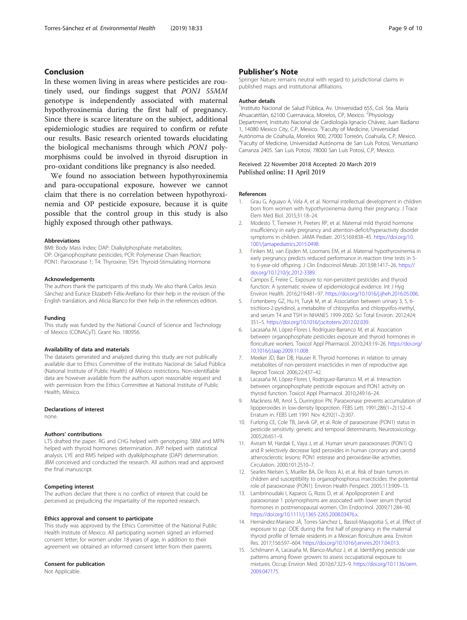#### <span id="page-8-0"></span>Conclusion

In these women living in areas where pesticides are routinely used, our findings suggest that PON1 55MM genotype is independently associated with maternal hypothyroxinemia during the first half of pregnancy. Since there is scarce literature on the subject, additional epidemiologic studies are required to confirm or refute our results. Basic research oriented towards elucidating the biological mechanisms through which PON1 polymorphisms could be involved in thyroid disruption in pro-oxidant conditions like pregnancy is also needed.

We found no association between hypothyroxinemia and para-occupational exposure, however we cannot claim that there is no correlation between hypothyroxinemia and OP pesticide exposure, because it is quite possible that the control group in this study is also highly exposed through other pathways.

#### Abbreviations

BMI: Body Mass Index; DAP: Dialkylphosphate metabolites; OP: Organophosphate pesticides; PCR: Polymerase Chain Reaction; PON1: Paroxonase 1; T4: Thyroxine; TSH: Thyroid-Stimulating Hormone

#### Acknowledgements

The authors thank the participants of this study. We also thank Carlos Jesús Sánchez and Eunice Elizabeth Félix-Arellano for their help in the revision of the English translation, and Alicia Blanco for their help in the references edition.

#### Funding

This study was funded by the National Council of Science and Technology of Mexico (CONACyT). Grant No. 180956.

#### Availability of data and materials

The datasets generated and analyzed during this study are not publically available due to Ethics Committee of the Instituto Nacional de Salud Pública (National Institute of Public Health) of México restrictions. Non-identifiable data are however available from the authors upon reasonable request and with permission from the Ethics Committee at National Institute of Public Health, México.

#### Declarations of interest

none.

#### Authors' contributions

LTS drafted the paper. RG and CHG helped with genotyping. SBM and MPN helped with thyroid hormones determination. JIVP helped with statistical analysis. LYE and RMS helped with dyalkilphosphate (DAP) determination. JBM conceived and conducted the research. All authors read and approved the final manuscript.

#### Competing interest

The authors declare that there is no conflict of interest that could be perceived as prejudicing the impartiality of the reported research.

#### Ethics approval and consent to participate

This study was approved by the Ethics Committee of the National Public Health Institute of Mexico. All participating women signed an informed consent letter; for women under 18 years of age, in addition to their agreement we obtained an informed consent letter from their parents.

#### Consent for publication

Not Applicable.

#### Publisher's Note

Springer Nature remains neutral with regard to jurisdictional claims in published maps and institutional affiliations.

#### Author details

<sup>1</sup>Instituto Nacional de Salud Pública, Av. Universidad 655, Col. Sta. María Ahuacatitlán, 62100 Cuernavaca, Morelos, CP, Mexico. <sup>2</sup>Physiology Department, Instituto Nacional de Cardiología Ignacio Chávez, Juan Badiano 1, 14080 Mexico City, C.P, Mexico. <sup>3</sup> Faculty of Medicine, Universidad Autónoma de Coahuila, Morelos 900, 27000 Torreón, Coahuila, C.P, Mexico. 4 Faculty of Medicine, Universidad Autónoma de San Luís Potosí, Venustiano Carranza 2405. San Luis Potosí, 78000 San Luís Potosí, C.P, Mexico.

#### Received: 22 November 2018 Accepted: 20 March 2019 Published online: 11 April 2019

#### References

- Grau G, Aguayo A, Vela A, et al. Normal intellectual development in children born from women with hypothyroxinemia during their pregnancy. J Trace Elem Med Biol. 2015;31:18–24.
- 2. Modesto T, Tiemeier H, Peeters RP, et al. Maternal mild thyroid hormone insufficiency in early pregnancy and attention-deficit/hyperactivity disorder symptoms in children. JAMA Pediatr. 2015;169:838–45. [https://doi.org/10.](https://doi.org/10.1001/jamapediatrics.2015.0498) [1001/jamapediatrics.2015.0498](https://doi.org/10.1001/jamapediatrics.2015.0498).
- 3. Finken MJ, van Eijsden M, Loomans EM, et al. Maternal hypothyroxinemia in early pregnancy predicts reduced performance in reaction time tests in 5 to 6-year-old offspring. J Clin Endocrinol Metab. 2013;98:1417–26. [https://](https://doi.org/10.1210/jc.2012-3389) [doi.org/10.1210/jc.2012-3389](https://doi.org/10.1210/jc.2012-3389).
- 4. Campos É, Freire C. Exposure to non-persistent pesticides and thyroid function: A systematic review of epidemiological evidence. Int J Hyg Environ Health. 2016;219:481–97. <https://doi.org/10.1016/j.ijheh.2016.05.006>.
- 5. Fortenberry GZ, Hu H, Turyk M, et al. Association between urinary 3, 5, 6 trichloro-2-pyridinol, a metabolite of chlorpyrifos and chlorpyrifos-methyl, and serum T4 and TSH in NHANES 1999-2002. Sci Total Environ. 2012;424: 351–5. <https://doi.org/10.1016/j.scitotenv.2012.02.039>.
- 6. Lacasaña M, López-Flores I, Rodríguez-Barranco M, et al. Association between organophosphate pesticides exposure and thyroid hormones in floriculture workers. Toxicol Appl Pharmacol. 2010;243:19–26. [https://doi.org/](https://doi.org/10.1016/j.taap.2009.11.008.) [10.1016/j.taap.2009.11.008.](https://doi.org/10.1016/j.taap.2009.11.008.)
- 7. Meeker JD, Barr DB, Hauser R. Thyroid hormones in relation to urinary metabolites of non-persistent insecticides in men of reproductive age. Reprod Toxicol. 2006;22:437–42.
- Lacasaña M, López-Flores I, Rodríguez-Barranco M, et al. Interaction between organophosphate pesticide exposure and PON1 activity on thyroid function. Toxicol Appl Pharmacol. 2010;249:16–24.
- 9. Mackness MI, Arrol S, Durrington PN. Paraoxonase prevents accumulation of lipoperoxides in low-density lipoprotein. FEBS Lett. 1991;286(1–2):152–4 Erratum in: FEBS Lett 1991 Nov 4;292(1–2):307.
- 10. Furlong CE, Cole TB, Jarvik GP, et al. Role of paraoxonase (PON1) status in pesticide sensitivity: genetic and temporal determinants. Neurotoxicology. 2005;26:651–9.
- 11. Aviram M, Hardak E, Vaya J, et al. Human serum paraoxonases (PON1) Q and R selectively decrease lipid peroxides in human coronary and carotid atherosclerotic lesions: PON1 esterase and peroxidase-like activities. Circulation. 2000;101:2510–7.
- 12. Searles Nielsen S, Mueller BA, De Roos AJ, et al. Risk of brain tumors in children and susceptibility to organophosphorus insecticides: the potential role of paraoxonase (PON1). Environ Health Perspect. 2005;113:909–13.
- 13. Lambrinoudaki I, Kaparos G, Rizos D, et al. Apolipoprotein E and paraoxonase 1 polymorphisms are associated with lower serum thyroid hormones in postmenopausal women. Clin Endocrinol. 2009;71:284–90. <https://doi.org/10.1111/j.1365-2265.2008.03476.x>.
- 14. Hernández-Mariano JÁ, Torres-Sánchez L, Bassol-Mayagoitia S, et al. Effect of exposure to p,p'-DDE during the first half of pregnancy in the maternal thyroid profile of female residents in a Mexican floriculture area. Environ Res. 2017;156:597–604. [https://doi.org/10.1016/j.envres.2017.04.013.](https://doi.org/10.1016/j.envres.2017.04.013)
- 15. Schilmann A, Lacasaña M, Blanco-Muñoz J, et al. Identifying pesticide use patterns among flower growers to assess occupational exposure to mixtures. Occup Environ Med. 2010;67:323–9. [https://doi.org/10.1136/oem.](https://doi.org/10.1136/oem.2009.047175) [2009.047175](https://doi.org/10.1136/oem.2009.047175).